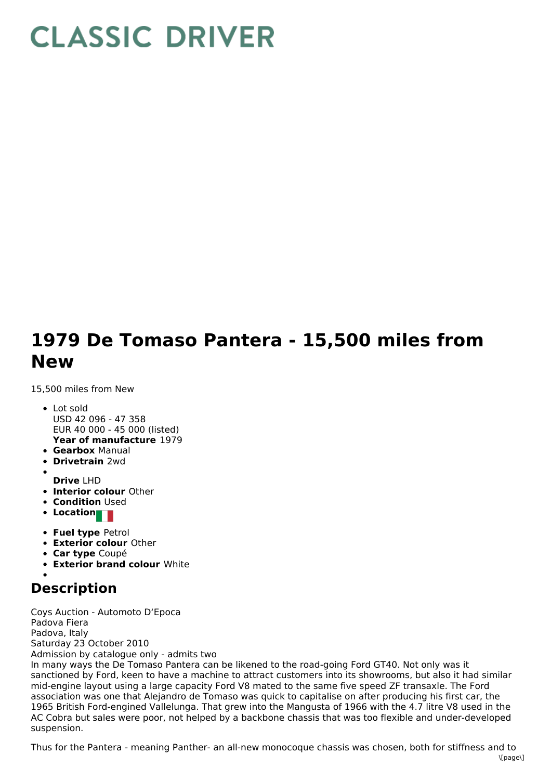## **CLASSIC DRIVER**

## **1979 De Tomaso Pantera - 15,500 miles from New**

15,500 miles from New

- **Year of manufacture** 1979 Lot sold USD 42 096 - 47 358 EUR 40 000 - 45 000 (listed)
- **Gearbox** Manual
- **Drivetrain** 2wd
- **Drive** LHD
- **Interior colour** Other
- **Condition Used**
- **Location**
- **Fuel type** Petrol
- **Exterior colour** Other
- **Car type** Coupé
- **Exterior brand colour** White

## **Description**

Coys Auction - Automoto D'Epoca Padova Fiera Padova, Italy Saturday 23 October 2010 Admission by catalogue only - admits two In many ways the De Tomaso Pantera can be likened to the road-going Ford GT40. Not only was it sanctioned by Ford, keen to have a machine to attract customers into its showrooms, but also it had similar mid-engine layout using a large capacity Ford V8 mated to the same five speed ZF transaxle. The Ford association was one that Alejandro de Tomaso was quick to capitalise on after producing his first car, the 1965 British Ford-engined Vallelunga. That grew into the Mangusta of 1966 with the 4.7 litre V8 used in the AC Cobra but sales were poor, not helped by a backbone chassis that was too flexible and under-developed suspension.

Thus for the Pantera - meaning Panther- an all-new monocoque chassis was chosen, both for stiffness and to